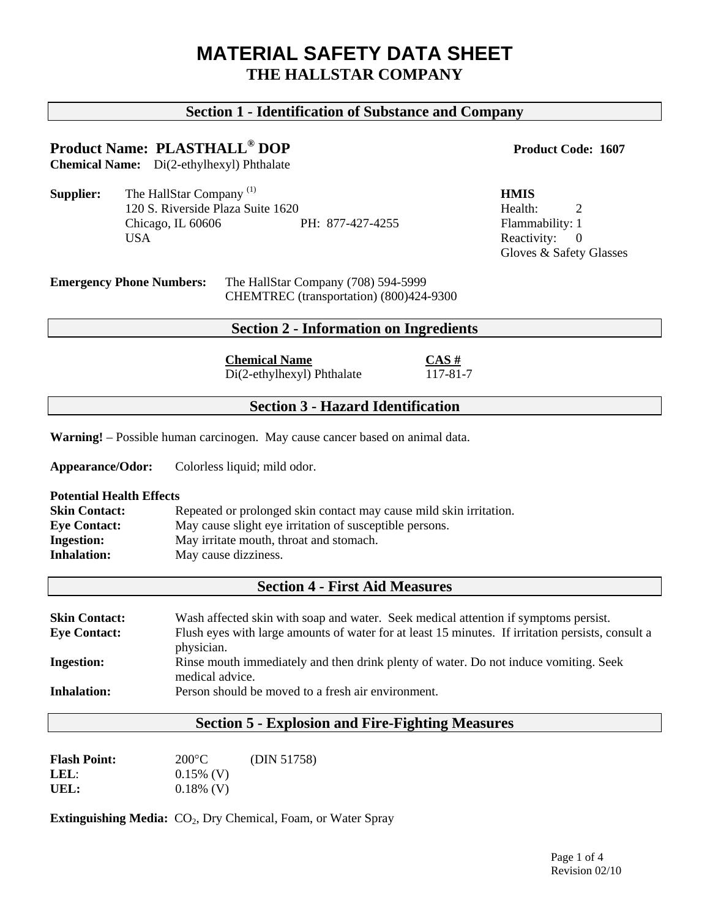# **MATERIAL SAFETY DATA SHEET THE HALLSTAR COMPANY**

## **Section 1 - Identification of Substance and Company**

# **Product Name: PLASTHALL<sup>®</sup> DOP Product Code: 1607**

**Chemical Name:** Di(2-ethylhexyl) Phthalate

**Supplier:** The HallStar Company<sup>(1)</sup> **HMIS** 120 S. Riverside Plaza Suite 1620 Health: 2 Chicago, IL 60606 PH: 877-427-4255 Flammability: 1 USA Reactivity: 0

Gloves & Safety Glasses

#### **Emergency Phone Numbers:** The HallStar Company (708) 594-5999 CHEMTREC (transportation) (800)424-9300

#### **Section 2 - Information on Ingredients**

**Chemical Name**<br>Di(2-ethylbexyl) Phthalate  $\frac{CAS \#}{117-81-7}$  $\overline{Di(2-ethylhexyl)}$  Phthalate

## **Section 3 - Hazard Identification**

**Warning!** – Possible human carcinogen. May cause cancer based on animal data.

**Appearance/Odor:** Colorless liquid; mild odor.

#### **Potential Health Effects**

| <b>Skin Contact:</b> | Repeated or prolonged skin contact may cause mild skin irritation. |
|----------------------|--------------------------------------------------------------------|
| <b>Eye Contact:</b>  | May cause slight eye irritation of susceptible persons.            |
| <b>Ingestion:</b>    | May irritate mouth, throat and stomach.                            |
| <b>Inhalation:</b>   | May cause dizziness.                                               |

## **Section 4 - First Aid Measures**

| <b>Skin Contact:</b> | Wash affected skin with soap and water. Seek medical attention if symptoms persist.               |
|----------------------|---------------------------------------------------------------------------------------------------|
| <b>Eye Contact:</b>  | Flush eyes with large amounts of water for at least 15 minutes. If irritation persists, consult a |
|                      | physician.                                                                                        |
| <b>Ingestion:</b>    | Rinse mouth immediately and then drink plenty of water. Do not induce vomiting. Seek              |
|                      | medical advice.                                                                                   |
| <b>Inhalation:</b>   | Person should be moved to a fresh air environment.                                                |

## **Section 5 - Explosion and Fire-Fighting Measures**

| <b>Flash Point:</b> | $200^{\circ}$ C | (DIN 51758) |
|---------------------|-----------------|-------------|
| LEL:                | $0.15\%$ (V)    |             |
| UEL:                | $0.18\%$ (V)    |             |

**Extinguishing Media:** CO<sub>2</sub>, Dry Chemical, Foam, or Water Spray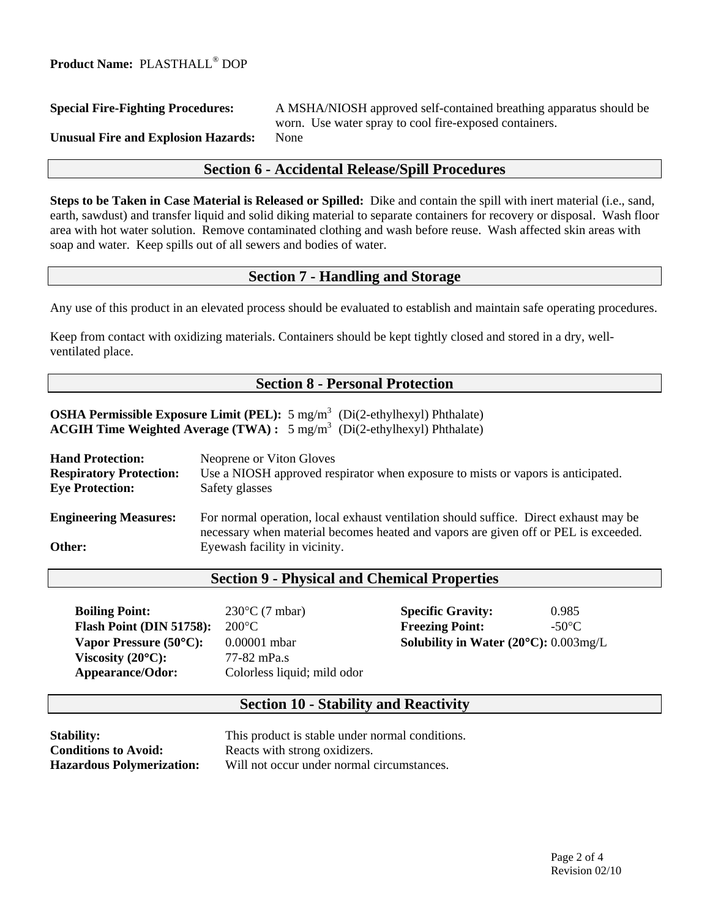## **Special Fire-Fighting Procedures:** A MSHA/NIOSH approved self-contained breathing apparatus should be worn. Use water spray to cool fire-exposed containers. **Unusual Fire and Explosion Hazards:** None

#### **Section 6 - Accidental Release/Spill Procedures**

**Steps to be Taken in Case Material is Released or Spilled:** Dike and contain the spill with inert material (i.e., sand, earth, sawdust) and transfer liquid and solid diking material to separate containers for recovery or disposal. Wash floor area with hot water solution. Remove contaminated clothing and wash before reuse. Wash affected skin areas with soap and water. Keep spills out of all sewers and bodies of water.

## **Section 7 - Handling and Storage**

Any use of this product in an elevated process should be evaluated to establish and maintain safe operating procedures.

Keep from contact with oxidizing materials. Containers should be kept tightly closed and stored in a dry, wellventilated place.

## **Section 8 - Personal Protection**

**OSHA Permissible Exposure Limit (PEL):** 5 mg/m<sup>3</sup> (Di(2-ethylhexyl) Phthalate) **ACGIH Time Weighted Average (TWA) :** 5 mg/m3 (Di(2-ethylhexyl) Phthalate)

| <b>Hand Protection:</b>        | Neoprene or Viton Gloves                                                                                                                                                     |  |
|--------------------------------|------------------------------------------------------------------------------------------------------------------------------------------------------------------------------|--|
| <b>Respiratory Protection:</b> | Use a NIOSH approved respirator when exposure to mists or vapors is anticipated.                                                                                             |  |
| <b>Eye Protection:</b>         | Safety glasses                                                                                                                                                               |  |
| <b>Engineering Measures:</b>   | For normal operation, local exhaust ventilation should suffice. Direct exhaust may be<br>necessary when material becomes heated and vapors are given off or PEL is exceeded. |  |
| Other:                         | Eyewash facility in vicinity.                                                                                                                                                |  |
|                                |                                                                                                                                                                              |  |

#### **Section 9 - Physical and Chemical Properties**

**Boiling Point:** 230°C (7 mbar) **Specific Gravity:** 0.985 **Flash Point (DIN 51758):** 200°C **Freezing Point:** -50°C **Vapor Pressure (50°C):** 0.00001 mbar **Solubility in Water (20°C):** 0.003mg/L **Viscosity (20<sup>°</sup>C):** 77-82 mPa.s Appearance/Odor: Colorless liquid; mild odor

### **Section 10 - Stability and Reactivity**

**Conditions to Avoid:** Reacts with strong oxidizers.

**Stability:** This product is stable under normal conditions. **Hazardous Polymerization:** Will not occur under normal circumstances.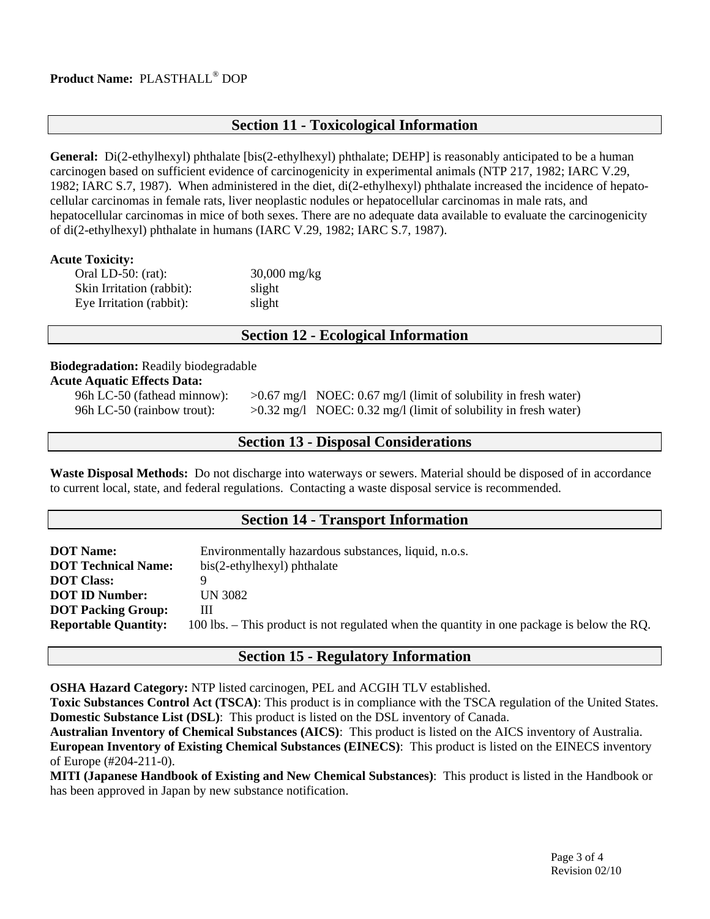#### **Product Name:** PLASTHALL® DOP

### **Section 11 - Toxicological Information**

**General:** Di(2-ethylhexyl) phthalate [bis(2-ethylhexyl) phthalate; DEHP] is reasonably anticipated to be a human carcinogen based on sufficient evidence of carcinogenicity in experimental animals (NTP 217, 1982; IARC V.29, 1982; IARC S.7, 1987). When administered in the diet, di(2-ethylhexyl) phthalate increased the incidence of hepatocellular carcinomas in female rats, liver neoplastic nodules or hepatocellular carcinomas in male rats, and hepatocellular carcinomas in mice of both sexes. There are no adequate data available to evaluate the carcinogenicity of di(2-ethylhexyl) phthalate in humans (IARC V.29, 1982; IARC S.7, 1987).

#### **Acute Toxicity:**

| Oral LD-50: $(rat)$ :     | $30,000$ mg/kg |  |
|---------------------------|----------------|--|
| Skin Irritation (rabbit): | slight         |  |
| Eye Irritation (rabbit):  | slight         |  |

#### **Section 12 - Ecological Information**

### **Biodegradation:** Readily biodegradable

#### **Acute Aquatic Effects Data:**

96h LC-50 (fathead minnow):  $>0.67$  mg/l NOEC: 0.67 mg/l (limit of solubility in fresh water) 96h LC-50 (rainbow trout):  $>0.32 \text{ mg/l}$  NOEC: 0.32 mg/l (limit of solubility in fresh water)

#### **Section 13 - Disposal Considerations**

**Waste Disposal Methods:** Do not discharge into waterways or sewers. Material should be disposed of in accordance to current local, state, and federal regulations. Contacting a waste disposal service is recommended.

#### **Section 14 - Transport Information**

| <b>DOT Name:</b>            | Environmentally hazardous substances, liquid, n.o.s.                                       |  |
|-----------------------------|--------------------------------------------------------------------------------------------|--|
| <b>DOT Technical Name:</b>  | bis(2-ethylhexyl) phthalate                                                                |  |
| <b>DOT</b> Class:           |                                                                                            |  |
| <b>DOT ID Number:</b>       | UN 3082                                                                                    |  |
| <b>DOT Packing Group:</b>   | Ш                                                                                          |  |
| <b>Reportable Quantity:</b> | 100 lbs. – This product is not regulated when the quantity in one package is below the RQ. |  |

### **Section 15 - Regulatory Information**

**OSHA Hazard Category:** NTP listed carcinogen, PEL and ACGIH TLV established.

**Toxic Substances Control Act (TSCA)**: This product is in compliance with the TSCA regulation of the United States. **Domestic Substance List (DSL)**:This product is listed on the DSL inventory of Canada.

**Australian Inventory of Chemical Substances (AICS)**: This product is listed on the AICS inventory of Australia. **European Inventory of Existing Chemical Substances (EINECS)**: This product is listed on the EINECS inventory of Europe (#204-211-0).

**MITI (Japanese Handbook of Existing and New Chemical Substances)**: This product is listed in the Handbook or has been approved in Japan by new substance notification.